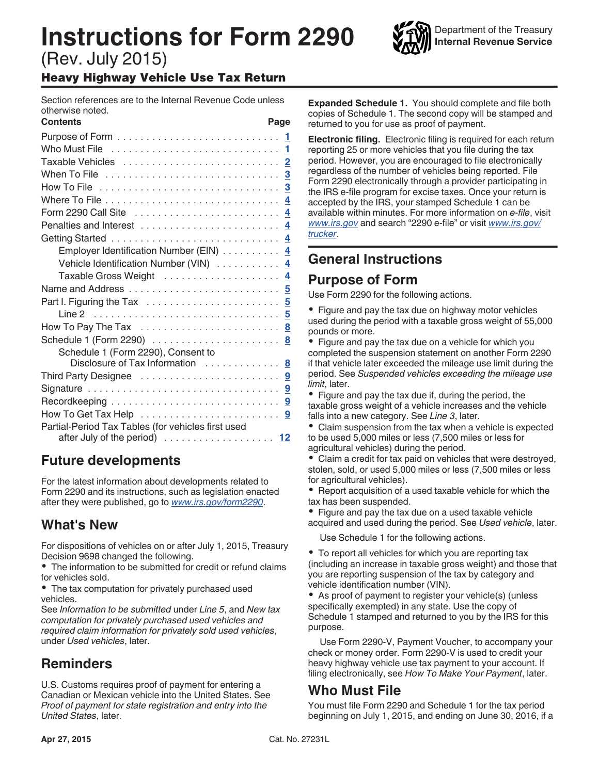# **Instructions for Form 2290**

(Rev. July 2015)

### Heavy Highway Vehicle Use Tax Return

Section references are to the Internal Revenue Code unless otherwise noted.

| <b>Contents</b>                                    | Page |
|----------------------------------------------------|------|
|                                                    |      |
|                                                    |      |
|                                                    |      |
|                                                    |      |
|                                                    |      |
|                                                    |      |
|                                                    |      |
|                                                    |      |
|                                                    |      |
| Employer Identification Number (EIN) 4             |      |
| Vehicle Identification Number (VIN) 4              |      |
| Taxable Gross Weight  4                            |      |
|                                                    |      |
|                                                    |      |
|                                                    |      |
|                                                    |      |
|                                                    |      |
| Schedule 1 (Form 2290), Consent to                 |      |
| Disclosure of Tax Information  8                   |      |
|                                                    |      |
|                                                    |      |
|                                                    |      |
|                                                    |      |
| Partial-Period Tax Tables (for vehicles first used |      |
|                                                    |      |

# **Future developments**

For the latest information about developments related to Form 2290 and its instructions, such as legislation enacted after they were published, go to *[www.irs.gov/form2290](http://www.irs.gov/form2290)*.

# **What's New**

For dispositions of vehicles on or after July 1, 2015, Treasury Decision 9698 changed the following.

The information to be submitted for credit or refund claims for vehicles sold.

The tax computation for privately purchased used vehicles.

See *Information to be submitted* under *Line 5*, and *New tax computation for privately purchased used vehicles and required claim information for privately sold used vehicles*, under *Used vehicles*, later.

# **Reminders**

U.S. Customs requires proof of payment for entering a Canadian or Mexican vehicle into the United States. See *Proof of payment for state registration and entry into the United States*, later.

**Expanded Schedule 1.** You should complete and file both copies of Schedule 1. The second copy will be stamped and returned to you for use as proof of payment.

**Electronic filing.** Electronic filing is required for each return reporting 25 or more vehicles that you file during the tax period. However, you are encouraged to file electronically regardless of the number of vehicles being reported. File Form 2290 electronically through a provider participating in the IRS e-file program for excise taxes. Once your return is accepted by the IRS, your stamped Schedule 1 can be available within minutes. For more information on *e-file*, visit *[www.irs.gov](http://www.irs.gov)* and search "2290 e-file" or visit *[www.irs.gov/](http://www.irs.gov/trucker) [trucker](http://www.irs.gov/trucker)*.

# **General Instructions**

## **Purpose of Form**

Use Form 2290 for the following actions.

• Figure and pay the tax due on highway motor vehicles used during the period with a taxable gross weight of 55,000 pounds or more.

• Figure and pay the tax due on a vehicle for which you completed the suspension statement on another Form 2290 if that vehicle later exceeded the mileage use limit during the period. See *Suspended vehicles exceeding the mileage use limit*, later.

• Figure and pay the tax due if, during the period, the taxable gross weight of a vehicle increases and the vehicle falls into a new category. See *Line 3*, later.

Claim suspension from the tax when a vehicle is expected to be used 5,000 miles or less (7,500 miles or less for agricultural vehicles) during the period.

Claim a credit for tax paid on vehicles that were destroyed, stolen, sold, or used 5,000 miles or less (7,500 miles or less for agricultural vehicles).

• Report acquisition of a used taxable vehicle for which the tax has been suspended.

Figure and pay the tax due on a used taxable vehicle acquired and used during the period. See *Used vehicle*, later.

Use Schedule 1 for the following actions.

To report all vehicles for which you are reporting tax (including an increase in taxable gross weight) and those that you are reporting suspension of the tax by category and vehicle identification number (VIN).

As proof of payment to register your vehicle(s) (unless specifically exempted) in any state. Use the copy of Schedule 1 stamped and returned to you by the IRS for this purpose.

Use Form 2290-V, Payment Voucher, to accompany your check or money order. Form 2290-V is used to credit your heavy highway vehicle use tax payment to your account. If filing electronically, see *How To Make Your Payment*, later.

# **Who Must File**

You must file Form 2290 and Schedule 1 for the tax period beginning on July 1, 2015, and ending on June 30, 2016, if a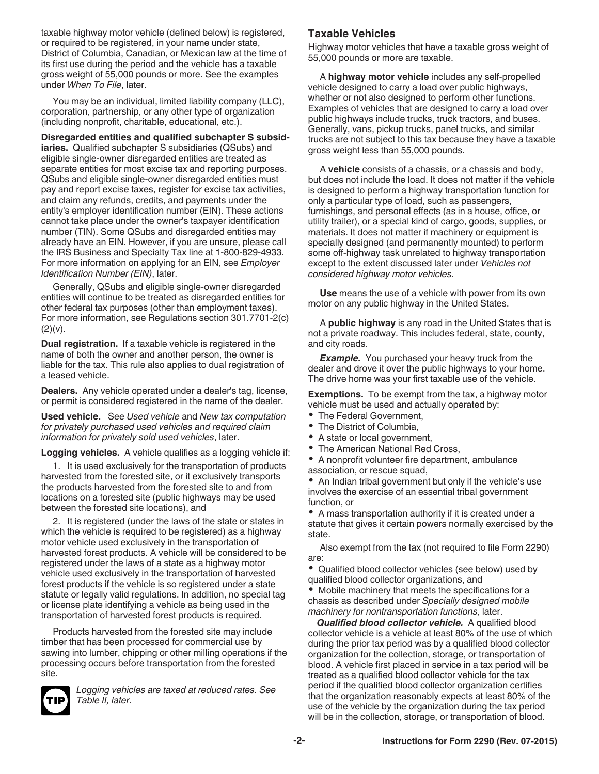<span id="page-1-0"></span>taxable highway motor vehicle (defined below) is registered, or required to be registered, in your name under state, District of Columbia, Canadian, or Mexican law at the time of its first use during the period and the vehicle has a taxable gross weight of 55,000 pounds or more. See the examples under *When To File*, later.

You may be an individual, limited liability company (LLC), corporation, partnership, or any other type of organization (including nonprofit, charitable, educational, etc.).

**Disregarded entities and qualified subchapter S subsidiaries.** Qualified subchapter S subsidiaries (QSubs) and eligible single-owner disregarded entities are treated as separate entities for most excise tax and reporting purposes. QSubs and eligible single-owner disregarded entities must pay and report excise taxes, register for excise tax activities, and claim any refunds, credits, and payments under the entity's employer identification number (EIN). These actions cannot take place under the owner's taxpayer identification number (TIN). Some QSubs and disregarded entities may already have an EIN. However, if you are unsure, please call the IRS Business and Specialty Tax line at 1-800-829-4933. For more information on applying for an EIN, see *Employer Identification Number (EIN)*, later.

Generally, QSubs and eligible single-owner disregarded entities will continue to be treated as disregarded entities for other federal tax purposes (other than employment taxes). For more information, see Regulations section 301.7701-2(c)  $(2)(v)$ .

**Dual registration.** If a taxable vehicle is registered in the name of both the owner and another person, the owner is liable for the tax. This rule also applies to dual registration of a leased vehicle.

**Dealers.** Any vehicle operated under a dealer's tag, license, or permit is considered registered in the name of the dealer.

**Used vehicle.** See *Used vehicle* and *New tax computation for privately purchased used vehicles and required claim information for privately sold used vehicles*, later.

**Logging vehicles.** A vehicle qualifies as a logging vehicle if:

1. It is used exclusively for the transportation of products harvested from the forested site, or it exclusively transports the products harvested from the forested site to and from locations on a forested site (public highways may be used between the forested site locations), and

2. It is registered (under the laws of the state or states in which the vehicle is required to be registered) as a highway motor vehicle used exclusively in the transportation of harvested forest products. A vehicle will be considered to be registered under the laws of a state as a highway motor vehicle used exclusively in the transportation of harvested forest products if the vehicle is so registered under a state statute or legally valid regulations. In addition, no special tag or license plate identifying a vehicle as being used in the transportation of harvested forest products is required.

Products harvested from the forested site may include timber that has been processed for commercial use by sawing into lumber, chipping or other milling operations if the processing occurs before transportation from the forested site.



*Logging vehicles are taxed at reduced rates. See Table II, later.*

### **Taxable Vehicles**

Highway motor vehicles that have a taxable gross weight of 55,000 pounds or more are taxable.

A **highway motor vehicle** includes any self-propelled vehicle designed to carry a load over public highways, whether or not also designed to perform other functions. Examples of vehicles that are designed to carry a load over public highways include trucks, truck tractors, and buses. Generally, vans, pickup trucks, panel trucks, and similar trucks are not subject to this tax because they have a taxable gross weight less than 55,000 pounds.

A **vehicle** consists of a chassis, or a chassis and body, but does not include the load. It does not matter if the vehicle is designed to perform a highway transportation function for only a particular type of load, such as passengers, furnishings, and personal effects (as in a house, office, or utility trailer), or a special kind of cargo, goods, supplies, or materials. It does not matter if machinery or equipment is specially designed (and permanently mounted) to perform some off-highway task unrelated to highway transportation except to the extent discussed later under *Vehicles not considered highway motor vehicles.*

**Use** means the use of a vehicle with power from its own motor on any public highway in the United States.

A **public highway** is any road in the United States that is not a private roadway. This includes federal, state, county, and city roads.

*Example.* You purchased your heavy truck from the dealer and drove it over the public highways to your home. The drive home was your first taxable use of the vehicle.

**Exemptions.** To be exempt from the tax, a highway motor vehicle must be used and actually operated by:

- The Federal Government.
- $\bullet$ The District of Columbia,
- $\bullet$ A state or local government,
- The American National Red Cross,

A nonprofit volunteer fire department, ambulance association, or rescue squad,

• An Indian tribal government but only if the vehicle's use involves the exercise of an essential tribal government function, or

A mass transportation authority if it is created under a statute that gives it certain powers normally exercised by the state.

Also exempt from the tax (not required to file Form 2290) are:

Qualified blood collector vehicles (see below) used by qualified blood collector organizations, and

Mobile machinery that meets the specifications for a chassis as described under *Specially designed mobile machinery for nontransportation functions*, later.

*Qualified blood collector vehicle.* A qualified blood collector vehicle is a vehicle at least 80% of the use of which during the prior tax period was by a qualified blood collector organization for the collection, storage, or transportation of blood. A vehicle first placed in service in a tax period will be treated as a qualified blood collector vehicle for the tax period if the qualified blood collector organization certifies that the organization reasonably expects at least 80% of the use of the vehicle by the organization during the tax period will be in the collection, storage, or transportation of blood.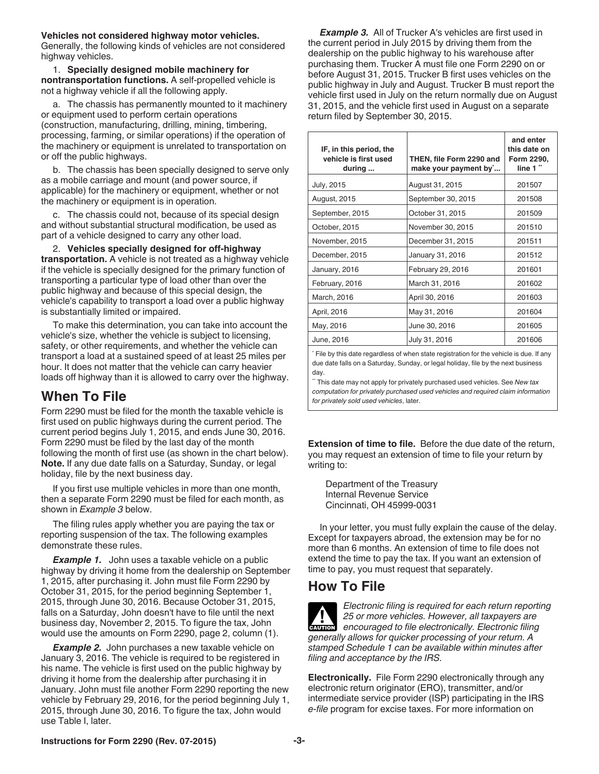#### <span id="page-2-0"></span>**Vehicles not considered highway motor vehicles.**

Generally, the following kinds of vehicles are not considered highway vehicles.

1. **Specially designed mobile machinery for nontransportation functions.** A self-propelled vehicle is not a highway vehicle if all the following apply.

a. The chassis has permanently mounted to it machinery or equipment used to perform certain operations (construction, manufacturing, drilling, mining, timbering, processing, farming, or similar operations) if the operation of the machinery or equipment is unrelated to transportation on or off the public highways.

b. The chassis has been specially designed to serve only as a mobile carriage and mount (and power source, if applicable) for the machinery or equipment, whether or not the machinery or equipment is in operation.

c. The chassis could not, because of its special design and without substantial structural modification, be used as part of a vehicle designed to carry any other load.

2. **Vehicles specially designed for offhighway transportation.** A vehicle is not treated as a highway vehicle if the vehicle is specially designed for the primary function of transporting a particular type of load other than over the public highway and because of this special design, the vehicle's capability to transport a load over a public highway is substantially limited or impaired.

To make this determination, you can take into account the vehicle's size, whether the vehicle is subject to licensing, safety, or other requirements, and whether the vehicle can transport a load at a sustained speed of at least 25 miles per hour. It does not matter that the vehicle can carry heavier loads off highway than it is allowed to carry over the highway.

### **When To File**

Form 2290 must be filed for the month the taxable vehicle is first used on public highways during the current period. The current period begins July 1, 2015, and ends June 30, 2016. Form 2290 must be filed by the last day of the month following the month of first use (as shown in the chart below). **Note.** If any due date falls on a Saturday, Sunday, or legal holiday, file by the next business day.

If you first use multiple vehicles in more than one month, then a separate Form 2290 must be filed for each month, as shown in *Example 3* below.

The filing rules apply whether you are paying the tax or reporting suspension of the tax. The following examples demonstrate these rules.

**Example 1.** John uses a taxable vehicle on a public highway by driving it home from the dealership on September 1, 2015, after purchasing it. John must file Form 2290 by October 31, 2015, for the period beginning September 1, 2015, through June 30, 2016. Because October 31, 2015, falls on a Saturday, John doesn't have to file until the next business day, November 2, 2015. To figure the tax, John would use the amounts on Form 2290, page 2, column (1).

**Example 2.** John purchases a new taxable vehicle on January 3, 2016. The vehicle is required to be registered in his name. The vehicle is first used on the public highway by driving it home from the dealership after purchasing it in January. John must file another Form 2290 reporting the new vehicle by February 29, 2016, for the period beginning July 1, 2015, through June 30, 2016. To figure the tax, John would use Table I, later.

**Example 3.** All of Trucker A's vehicles are first used in the current period in July 2015 by driving them from the dealership on the public highway to his warehouse after purchasing them. Trucker A must file one Form 2290 on or before August 31, 2015. Trucker B first uses vehicles on the public highway in July and August. Trucker B must report the vehicle first used in July on the return normally due on August 31, 2015, and the vehicle first used in August on a separate return filed by September 30, 2015.

| and enter<br>this date on<br>Form 2290, |
|-----------------------------------------|
|                                         |
|                                         |
|                                         |
|                                         |
|                                         |
|                                         |
|                                         |
|                                         |
|                                         |
|                                         |
|                                         |
|                                         |
|                                         |

\* File by this date regardless of when state registration for the vehicle is due. If any due date falls on a Saturday, Sunday, or legal holiday, file by the next business day.

\*\* This date may not apply for privately purchased used vehicles. See *New tax computation for privately purchased used vehicles and required claim information for privately sold used vehicles*, later.

**Extension of time to file.** Before the due date of the return, you may request an extension of time to file your return by writing to:

Department of the Treasury Internal Revenue Service Cincinnati, OH 45999-0031

In your letter, you must fully explain the cause of the delay. Except for taxpayers abroad, the extension may be for no more than 6 months. An extension of time to file does not extend the time to pay the tax. If you want an extension of time to pay, you must request that separately.

### **How To File**

*Electronic filing is required for each return reporting 25 or more vehicles. However, all taxpayers are*  **25** or more vehicles. However, all taxpayers are encouraged to file electronically. Electronic filing *generally allows for quicker processing of your return. A stamped Schedule 1 can be available within minutes after filing and acceptance by the IRS.*

**Electronically.** File Form 2290 electronically through any electronic return originator (ERO), transmitter, and/or intermediate service provider (ISP) participating in the IRS *e-file* program for excise taxes. For more information on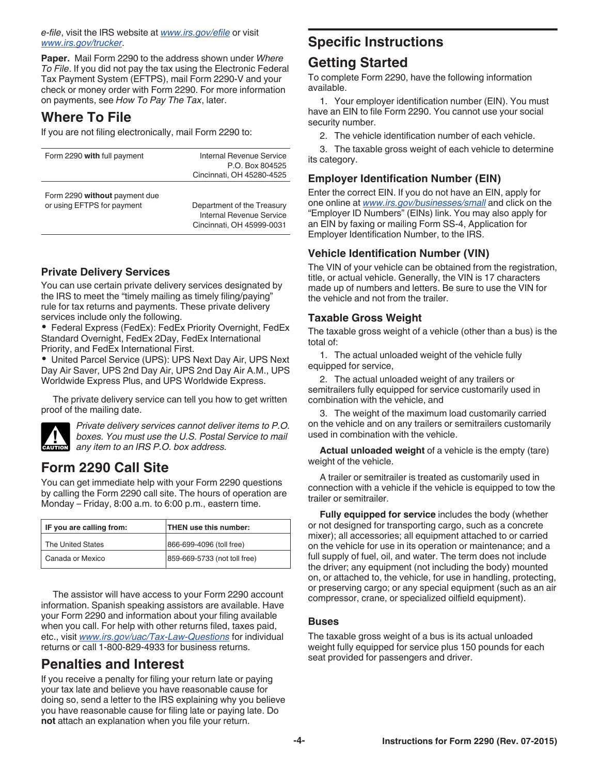#### <span id="page-3-0"></span>*e-file*, visit the IRS website at *[www.irs.gov/efile](http://www.irs.gov/efile)* or visit *[www.irs.gov/trucker](http://www.irs.gov/trucker)*.

**Paper.** Mail Form 2290 to the address shown under *Where To File*. If you did not pay the tax using the Electronic Federal Tax Payment System (EFTPS), mail Form 2290-V and your check or money order with Form 2290. For more information on payments, see *How To Pay The Tax*, later.

# **Where To File**

If you are not filing electronically, mail Form 2290 to:

| Form 2290 with full payment                                 | Internal Revenue Service                                                            |  |  |  |  |
|-------------------------------------------------------------|-------------------------------------------------------------------------------------|--|--|--|--|
|                                                             | P.O. Box 804525                                                                     |  |  |  |  |
|                                                             | Cincinnati, OH 45280-4525                                                           |  |  |  |  |
| Form 2290 without payment due<br>or using EFTPS for payment | Department of the Treasury<br>Internal Revenue Service<br>Cincinnati, OH 45999-0031 |  |  |  |  |

### **Private Delivery Services**

You can use certain private delivery services designated by the IRS to meet the "timely mailing as timely filing/paying" rule for tax returns and payments. These private delivery services include only the following.

Federal Express (FedEx): FedEx Priority Overnight, FedEx Standard Overnight, FedEx 2Day, FedEx International Priority, and FedEx International First.

United Parcel Service (UPS): UPS Next Day Air, UPS Next Day Air Saver, UPS 2nd Day Air, UPS 2nd Day Air A.M., UPS Worldwide Express Plus, and UPS Worldwide Express.

The private delivery service can tell you how to get written proof of the mailing date.



*Private delivery services cannot deliver items to P.O. boxes. You must use the U.S. Postal Service to mail any item to an IRS P.O. box address.* **CAUTION**

# **Form 2290 Call Site**

You can get immediate help with your Form 2290 questions by calling the Form 2290 call site. The hours of operation are Monday – Friday, 8:00 a.m. to 6:00 p.m., eastern time.

| IF you are calling from: | THEN use this number:        |  |  |  |  |
|--------------------------|------------------------------|--|--|--|--|
| The United States        | 866-699-4096 (toll free)     |  |  |  |  |
| Canada or Mexico         | 859-669-5733 (not toll free) |  |  |  |  |

The assistor will have access to your Form 2290 account information. Spanish speaking assistors are available. Have your Form 2290 and information about your filing available when you call. For help with other returns filed, taxes paid, etc., visit *[www.irs.gov/uac/Tax-Law-Questions](http://www.irs.gov/uac/Tax-Law-Questions)* for individual returns or call 1-800-829-4933 for business returns.

# **Penalties and Interest**

If you receive a penalty for filing your return late or paying your tax late and believe you have reasonable cause for doing so, send a letter to the IRS explaining why you believe you have reasonable cause for filing late or paying late. Do **not** attach an explanation when you file your return.

# **Specific Instructions**

# **Getting Started**

To complete Form 2290, have the following information available.

1. Your employer identification number (EIN). You must have an EIN to file Form 2290. You cannot use your social security number.

2. The vehicle identification number of each vehicle.

3. The taxable gross weight of each vehicle to determine its category.

### **Employer Identification Number (EIN)**

Enter the correct EIN. If you do not have an EIN, apply for one online at *[www.irs.gov/businesses/small](http://www.irs.gov/businesses/small)* and click on the "Employer ID Numbers" (EINs) link. You may also apply for an EIN by faxing or mailing Form SS-4, Application for Employer Identification Number, to the IRS.

### **Vehicle Identification Number (VIN)**

The VIN of your vehicle can be obtained from the registration, title, or actual vehicle. Generally, the VIN is 17 characters made up of numbers and letters. Be sure to use the VIN for the vehicle and not from the trailer.

### **Taxable Gross Weight**

The taxable gross weight of a vehicle (other than a bus) is the total of:

1. The actual unloaded weight of the vehicle fully equipped for service,

2. The actual unloaded weight of any trailers or semitrailers fully equipped for service customarily used in combination with the vehicle, and

3. The weight of the maximum load customarily carried on the vehicle and on any trailers or semitrailers customarily used in combination with the vehicle.

**Actual unloaded weight** of a vehicle is the empty (tare) weight of the vehicle.

A trailer or semitrailer is treated as customarily used in connection with a vehicle if the vehicle is equipped to tow the trailer or semitrailer.

**Fully equipped for service** includes the body (whether or not designed for transporting cargo, such as a concrete mixer); all accessories; all equipment attached to or carried on the vehicle for use in its operation or maintenance; and a full supply of fuel, oil, and water. The term does not include the driver; any equipment (not including the body) mounted on, or attached to, the vehicle, for use in handling, protecting, or preserving cargo; or any special equipment (such as an air compressor, crane, or specialized oilfield equipment).

### **Buses**

The taxable gross weight of a bus is its actual unloaded weight fully equipped for service plus 150 pounds for each seat provided for passengers and driver.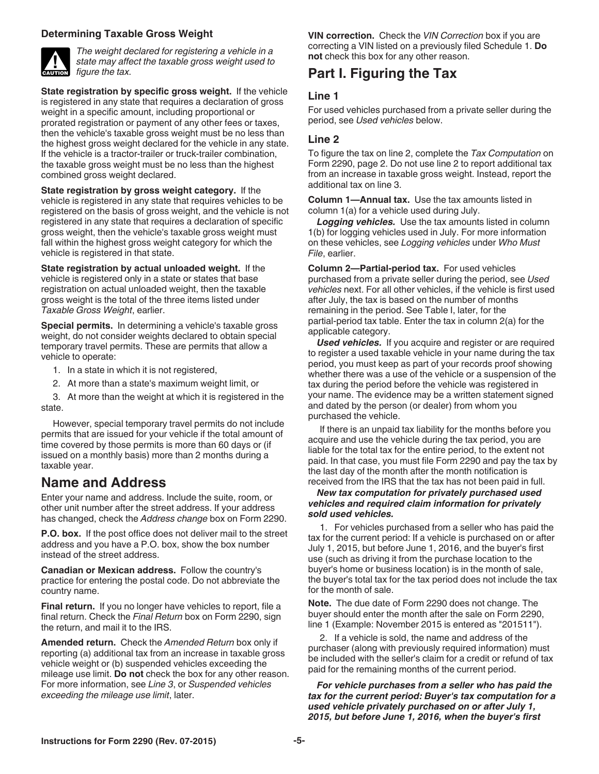### <span id="page-4-0"></span>**Determining Taxable Gross Weight**



*The weight declared for registering a vehicle in a state may affect the taxable gross weight used to figure the tax.*

**State registration by specific gross weight.** If the vehicle is registered in any state that requires a declaration of gross weight in a specific amount, including proportional or prorated registration or payment of any other fees or taxes, then the vehicle's taxable gross weight must be no less than the highest gross weight declared for the vehicle in any state. If the vehicle is a tractor-trailer or truck-trailer combination, the taxable gross weight must be no less than the highest combined gross weight declared.

**State registration by gross weight category.** If the vehicle is registered in any state that requires vehicles to be registered on the basis of gross weight, and the vehicle is not registered in any state that requires a declaration of specific gross weight, then the vehicle's taxable gross weight must fall within the highest gross weight category for which the vehicle is registered in that state.

**State registration by actual unloaded weight.** If the vehicle is registered only in a state or states that base registration on actual unloaded weight, then the taxable gross weight is the total of the three items listed under *Taxable Gross Weight*, earlier.

**Special permits.** In determining a vehicle's taxable gross weight, do not consider weights declared to obtain special temporary travel permits. These are permits that allow a vehicle to operate:

- 1. In a state in which it is not registered,
- 2. At more than a state's maximum weight limit, or

3. At more than the weight at which it is registered in the state.

However, special temporary travel permits do not include permits that are issued for your vehicle if the total amount of time covered by those permits is more than 60 days or (if issued on a monthly basis) more than 2 months during a taxable year.

### **Name and Address**

Enter your name and address. Include the suite, room, or other unit number after the street address. If your address has changed, check the *Address change* box on Form 2290.

**P.O. box.** If the post office does not deliver mail to the street address and you have a P.O. box, show the box number instead of the street address.

**Canadian or Mexican address.** Follow the country's practice for entering the postal code. Do not abbreviate the country name.

**Final return.** If you no longer have vehicles to report, file a final return. Check the *Final Return* box on Form 2290, sign the return, and mail it to the IRS.

**Amended return.** Check the *Amended Return* box only if reporting (a) additional tax from an increase in taxable gross vehicle weight or (b) suspended vehicles exceeding the mileage use limit. **Do not** check the box for any other reason. For more information, see *Line 3*, or *Suspended vehicles exceeding the mileage use limit*, later.

**VIN correction.** Check the *VIN Correction* box if you are correcting a VIN listed on a previously filed Schedule 1. **Do not** check this box for any other reason.

# **Part I. Figuring the Tax**

### **Line 1**

For used vehicles purchased from a private seller during the period, see *Used vehicles* below.

### **Line 2**

To figure the tax on line 2, complete the *Tax Computation* on Form 2290, page 2. Do not use line 2 to report additional tax from an increase in taxable gross weight. Instead, report the additional tax on line 3.

**Column 1—Annual tax.** Use the tax amounts listed in column 1(a) for a vehicle used during July.

**Logging vehicles.** Use the tax amounts listed in column 1(b) for logging vehicles used in July. For more information on these vehicles, see *Logging vehicles* under *Who Must File*, earlier.

**Column 2-Partial-period tax.** For used vehicles purchased from a private seller during the period, see *Used vehicles* next. For all other vehicles, if the vehicle is first used after July, the tax is based on the number of months remaining in the period. See Table I, later, for the partial-period tax table. Enter the tax in column 2(a) for the applicable category.

*Used vehicles.* If you acquire and register or are required to register a used taxable vehicle in your name during the tax period, you must keep as part of your records proof showing whether there was a use of the vehicle or a suspension of the tax during the period before the vehicle was registered in your name. The evidence may be a written statement signed and dated by the person (or dealer) from whom you purchased the vehicle.

If there is an unpaid tax liability for the months before you acquire and use the vehicle during the tax period, you are liable for the total tax for the entire period, to the extent not paid. In that case, you must file Form 2290 and pay the tax by the last day of the month after the month notification is received from the IRS that the tax has not been paid in full.

#### *New tax computation for privately purchased used vehicles and required claim information for privately sold used vehicles.*

1. For vehicles purchased from a seller who has paid the tax for the current period: If a vehicle is purchased on or after July 1, 2015, but before June 1, 2016, and the buyer's first use (such as driving it from the purchase location to the buyer's home or business location) is in the month of sale, the buyer's total tax for the tax period does not include the tax for the month of sale.

**Note.** The due date of Form 2290 does not change. The buyer should enter the month after the sale on Form 2290, line 1 (Example: November 2015 is entered as "201511").

2. If a vehicle is sold, the name and address of the purchaser (along with previously required information) must be included with the seller's claim for a credit or refund of tax paid for the remaining months of the current period.

#### *For vehicle purchases from a seller who has paid the tax for the current period: Buyer's tax computation for a used vehicle privately purchased on or after July 1, 2015, but before June 1, 2016, when the buyer's first*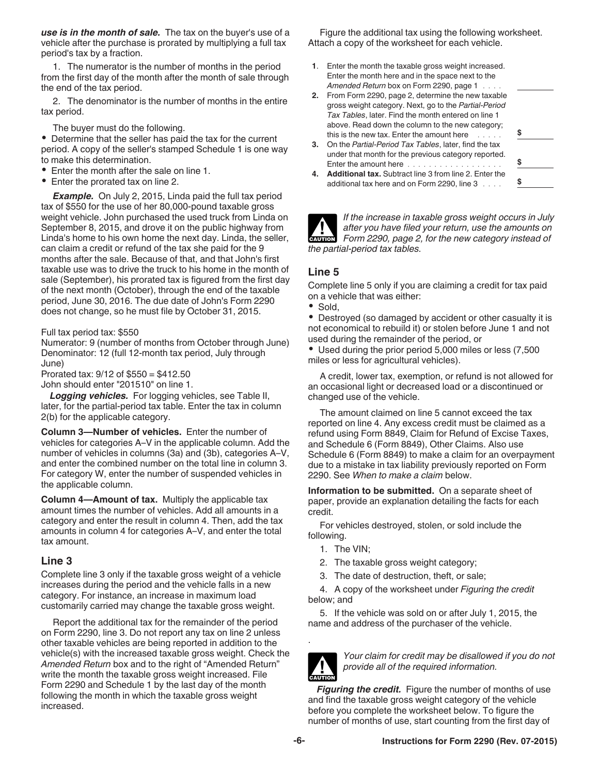*use is in the month of sale.* The tax on the buyer's use of a vehicle after the purchase is prorated by multiplying a full tax period's tax by a fraction.

1. The numerator is the number of months in the period from the first day of the month after the month of sale through the end of the tax period.

2. The denominator is the number of months in the entire tax period.

The buyer must do the following.

Determine that the seller has paid the tax for the current period. A copy of the seller's stamped Schedule 1 is one way to make this determination.

- Enter the month after the sale on line 1.
- Enter the prorated tax on line 2.

*Example.* On July 2, 2015, Linda paid the full tax period tax of \$550 for the use of her 80,000-pound taxable gross weight vehicle. John purchased the used truck from Linda on September 8, 2015, and drove it on the public highway from Linda's home to his own home the next day. Linda, the seller, can claim a credit or refund of the tax she paid for the 9 months after the sale. Because of that, and that John's first taxable use was to drive the truck to his home in the month of sale (September), his prorated tax is figured from the first day of the next month (October), through the end of the taxable period, June 30, 2016. The due date of John's Form 2290 does not change, so he must file by October 31, 2015.

Full tax period tax: \$550

Numerator: 9 (number of months from October through June) Denominator: 12 (full 12-month tax period, July through June)

Prorated tax: 9/12 of \$550 = \$412.50 John should enter "201510" on line 1.

*Logging vehicles.* For logging vehicles, see Table II, later, for the partial-period tax table. Enter the tax in column 2(b) for the applicable category.

**Column 3—Number of vehicles.** Enter the number of vehicles for categories A–V in the applicable column. Add the number of vehicles in columns (3a) and (3b), categories A–V, and enter the combined number on the total line in column 3. For category W, enter the number of suspended vehicles in the applicable column.

**Column 4—Amount of tax.** Multiply the applicable tax amount times the number of vehicles. Add all amounts in a category and enter the result in column 4. Then, add the tax amounts in column 4 for categories A–V, and enter the total tax amount.

### **Line 3**

Complete line 3 only if the taxable gross weight of a vehicle increases during the period and the vehicle falls in a new category. For instance, an increase in maximum load customarily carried may change the taxable gross weight.

Report the additional tax for the remainder of the period on Form 2290, line 3. Do not report any tax on line 2 unless other taxable vehicles are being reported in addition to the vehicle(s) with the increased taxable gross weight. Check the *Amended Return* box and to the right of "Amended Return" write the month the taxable gross weight increased. File Form 2290 and Schedule 1 by the last day of the month following the month in which the taxable gross weight increased.

Figure the additional tax using the following worksheet. Attach a copy of the worksheet for each vehicle.

- **1**. Enter the month the taxable gross weight increased. Enter the month here and in the space next to the *Amended Return* box on Form 2290, page 1 ....
- **2.** From Form 2290, page 2, determine the new taxable gross weight category. Next, go to the *Partial-Period Tax Tables*, later. Find the month entered on line 1 above. Read down the column to the new category; this is the new tax. Enter the amount here  $\ldots$ .
- **3.** On the *Partial-Period Tax Tables*, later, find the tax under that month for the previous category reported. Enter the amount here ............
- **4. Additional tax.** Subtract line 3 from line 2. Enter the additional tax here and on Form 2290, line 3  $\ldots$

*If the increase in taxable gross weight occurs in July after you have filed your return, use the amounts on Form 2290, page 2, for the new category instead of the partial-period tax tables.*

### **Line 5**

Complete line 5 only if you are claiming a credit for tax paid on a vehicle that was either:

• Sold,

Destroyed (so damaged by accident or other casualty it is not economical to rebuild it) or stolen before June 1 and not used during the remainder of the period, or

Used during the prior period 5,000 miles or less (7,500 miles or less for agricultural vehicles).

A credit, lower tax, exemption, or refund is not allowed for an occasional light or decreased load or a discontinued or changed use of the vehicle.

The amount claimed on line 5 cannot exceed the tax reported on line 4. Any excess credit must be claimed as a refund using Form 8849, Claim for Refund of Excise Taxes, and Schedule 6 (Form 8849), Other Claims. Also use Schedule 6 (Form 8849) to make a claim for an overpayment due to a mistake in tax liability previously reported on Form 2290. See *When to make a claim* below.

**Information to be submitted.** On a separate sheet of paper, provide an explanation detailing the facts for each credit.

For vehicles destroyed, stolen, or sold include the following.

- 1. The VIN;
- 2. The taxable gross weight category;
- 3. The date of destruction, theft, or sale;

4. A copy of the worksheet under *Figuring the credit*  below; and

5. If the vehicle was sold on or after July 1, 2015, the name and address of the purchaser of the vehicle.



.

*Your claim for credit may be disallowed if you do not provide all of the required information.*

*Figuring the credit.* Figure the number of months of use and find the taxable gross weight category of the vehicle before you complete the worksheet below. To figure the number of months of use, start counting from the first day of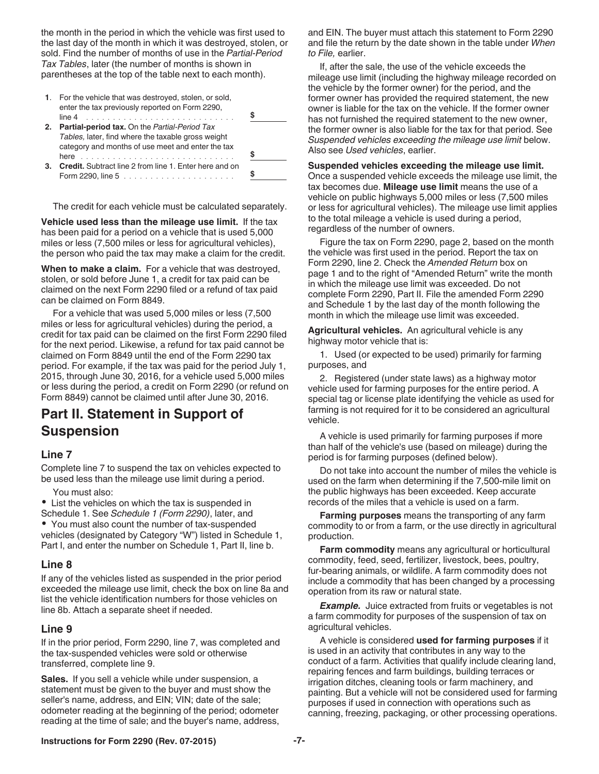the month in the period in which the vehicle was first used to the last day of the month in which it was destroyed, stolen, or sold. Find the number of months of use in the *Partial-Period Tax Tables*, later (the number of months is shown in parentheses at the top of the table next to each month).

|    | 1. For the vehicle that was destroyed, stolen, or sold,<br>enter the tax previously reported on Form 2290,<br>line 4                                                    |  |
|----|-------------------------------------------------------------------------------------------------------------------------------------------------------------------------|--|
| 2. | <b>Partial-period tax.</b> On the Partial-Period Tax<br>Tables, later, find where the taxable gross weight<br>category and months of use meet and enter the tax<br>here |  |
| 3. | <b>Credit.</b> Subtract line 2 from line 1. Enter here and on<br>Form 2290, line $5$                                                                                    |  |

The credit for each vehicle must be calculated separately.

**Vehicle used less than the mileage use limit.** If the tax has been paid for a period on a vehicle that is used 5,000 miles or less (7,500 miles or less for agricultural vehicles), the person who paid the tax may make a claim for the credit.

**When to make a claim.** For a vehicle that was destroyed, stolen, or sold before June 1, a credit for tax paid can be claimed on the next Form 2290 filed or a refund of tax paid can be claimed on Form 8849.

For a vehicle that was used 5,000 miles or less (7,500 miles or less for agricultural vehicles) during the period, a credit for tax paid can be claimed on the first Form 2290 filed for the next period. Likewise, a refund for tax paid cannot be claimed on Form 8849 until the end of the Form 2290 tax period. For example, if the tax was paid for the period July 1, 2015, through June 30, 2016, for a vehicle used 5,000 miles or less during the period, a credit on Form 2290 (or refund on Form 8849) cannot be claimed until after June 30, 2016.

# **Part II. Statement in Support of Suspension**

### **Line 7**

Complete line 7 to suspend the tax on vehicles expected to be used less than the mileage use limit during a period.

You must also:

List the vehicles on which the tax is suspended in

Schedule 1. See *Schedule 1 (Form 2290)*, later, and You must also count the number of tax-suspended vehicles (designated by Category "W") listed in Schedule 1, Part I, and enter the number on Schedule 1, Part II, line b.

### **Line 8**

If any of the vehicles listed as suspended in the prior period exceeded the mileage use limit, check the box on line 8a and list the vehicle identification numbers for those vehicles on line 8b. Attach a separate sheet if needed.

### **Line 9**

If in the prior period, Form 2290, line 7, was completed and the tax-suspended vehicles were sold or otherwise transferred, complete line 9.

**Sales.** If you sell a vehicle while under suspension, a statement must be given to the buyer and must show the seller's name, address, and EIN; VIN; date of the sale; odometer reading at the beginning of the period; odometer reading at the time of sale; and the buyer's name, address, and EIN. The buyer must attach this statement to Form 2290 and file the return by the date shown in the table under *When to File,* earlier.

If, after the sale, the use of the vehicle exceeds the mileage use limit (including the highway mileage recorded on the vehicle by the former owner) for the period, and the former owner has provided the required statement, the new owner is liable for the tax on the vehicle. If the former owner has not furnished the required statement to the new owner, the former owner is also liable for the tax for that period. See *Suspended vehicles exceeding the mileage use limit* below. Also see *Used vehicles*, earlier.

**Suspended vehicles exceeding the mileage use limit.**  Once a suspended vehicle exceeds the mileage use limit, the tax becomes due. **Mileage use limit** means the use of a vehicle on public highways 5,000 miles or less (7,500 miles or less for agricultural vehicles). The mileage use limit applies to the total mileage a vehicle is used during a period, regardless of the number of owners.

Figure the tax on Form 2290, page 2, based on the month the vehicle was first used in the period. Report the tax on Form 2290, line 2. Check the *Amended Return* box on page 1 and to the right of "Amended Return" write the month in which the mileage use limit was exceeded. Do not complete Form 2290, Part II. File the amended Form 2290 and Schedule 1 by the last day of the month following the month in which the mileage use limit was exceeded.

**Agricultural vehicles.** An agricultural vehicle is any highway motor vehicle that is:

1. Used (or expected to be used) primarily for farming purposes, and

2. Registered (under state laws) as a highway motor vehicle used for farming purposes for the entire period. A special tag or license plate identifying the vehicle as used for farming is not required for it to be considered an agricultural vehicle.

A vehicle is used primarily for farming purposes if more than half of the vehicle's use (based on mileage) during the period is for farming purposes (defined below).

Do not take into account the number of miles the vehicle is used on the farm when determining if the 7,500-mile limit on the public highways has been exceeded. Keep accurate records of the miles that a vehicle is used on a farm.

**Farming purposes** means the transporting of any farm commodity to or from a farm, or the use directly in agricultural production.

**Farm commodity** means any agricultural or horticultural commodity, feed, seed, fertilizer, livestock, bees, poultry, fur-bearing animals, or wildlife. A farm commodity does not include a commodity that has been changed by a processing operation from its raw or natural state.

**Example.** Juice extracted from fruits or vegetables is not a farm commodity for purposes of the suspension of tax on agricultural vehicles.

A vehicle is considered **used for farming purposes** if it is used in an activity that contributes in any way to the conduct of a farm. Activities that qualify include clearing land, repairing fences and farm buildings, building terraces or irrigation ditches, cleaning tools or farm machinery, and painting. But a vehicle will not be considered used for farming purposes if used in connection with operations such as canning, freezing, packaging, or other processing operations.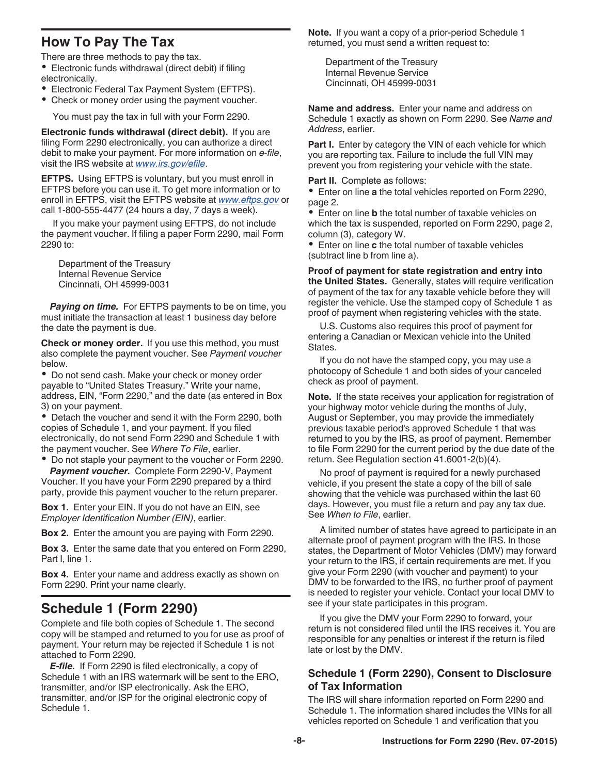# <span id="page-7-0"></span>**How To Pay The Tax**

There are three methods to pay the tax.

Electronic funds withdrawal (direct debit) if filing electronically.

- Electronic Federal Tax Payment System (EFTPS).
- Check or money order using the payment voucher.

You must pay the tax in full with your Form 2290.

**Electronic funds withdrawal (direct debit).** If you are filing Form 2290 electronically, you can authorize a direct debit to make your payment. For more information on *e-file*, visit the IRS website at *[www.irs.gov/efile](http://www.irs.gov/efile)*.

**EFTPS.** Using EFTPS is voluntary, but you must enroll in EFTPS before you can use it. To get more information or to enroll in EFTPS, visit the EFTPS website at *[www.eftps.gov](http://www.eftps.gov)* or call 1-800-555-4477 (24 hours a day, 7 days a week).

If you make your payment using EFTPS, do not include the payment voucher. If filing a paper Form 2290, mail Form 2290 to:

Department of the Treasury Internal Revenue Service Cincinnati, OH 45999-0031

*Paying on time.* For EFTPS payments to be on time, you must initiate the transaction at least 1 business day before the date the payment is due.

**Check or money order.** If you use this method, you must also complete the payment voucher. See *Payment voucher*  below.

Do not send cash. Make your check or money order payable to "United States Treasury." Write your name, address, EIN, "Form 2290," and the date (as entered in Box 3) on your payment.

Detach the voucher and send it with the Form 2290, both copies of Schedule 1, and your payment. If you filed electronically, do not send Form 2290 and Schedule 1 with the payment voucher. See *Where To File*, earlier.

Do not staple your payment to the voucher or Form 2290. *Payment voucher.* Complete Form 2290-V, Payment

Voucher. If you have your Form 2290 prepared by a third party, provide this payment voucher to the return preparer.

**Box 1.** Enter your EIN. If you do not have an EIN, see *Employer Identification Number (EIN)*, earlier.

**Box 2.** Enter the amount you are paying with Form 2290.

**Box 3.** Enter the same date that you entered on Form 2290, Part I, line 1.

**Box 4.** Enter your name and address exactly as shown on Form 2290. Print your name clearly.

# **Schedule 1 (Form 2290)**

Complete and file both copies of Schedule 1. The second copy will be stamped and returned to you for use as proof of payment. Your return may be rejected if Schedule 1 is not attached to Form 2290.

*E-file.* If Form 2290 is filed electronically, a copy of Schedule 1 with an IRS watermark will be sent to the ERO, transmitter, and/or ISP electronically. Ask the ERO, transmitter, and/or ISP for the original electronic copy of Schedule 1.

**Note.** If you want a copy of a prior-period Schedule 1 returned, you must send a written request to:

Department of the Treasury Internal Revenue Service Cincinnati, OH 45999-0031

**Name and address.** Enter your name and address on Schedule 1 exactly as shown on Form 2290. See *Name and Address*, earlier.

Part I. Enter by category the VIN of each vehicle for which you are reporting tax. Failure to include the full VIN may prevent you from registering your vehicle with the state.

**Part II.** Complete as follows:

Enter on line **a** the total vehicles reported on Form 2290, page 2.

Enter on line **b** the total number of taxable vehicles on which the tax is suspended, reported on Form 2290, page 2, column (3), category W.

Enter on line **c** the total number of taxable vehicles (subtract line b from line a).

**Proof of payment for state registration and entry into the United States.** Generally, states will require verification of payment of the tax for any taxable vehicle before they will register the vehicle. Use the stamped copy of Schedule 1 as proof of payment when registering vehicles with the state.

U.S. Customs also requires this proof of payment for entering a Canadian or Mexican vehicle into the United States.

If you do not have the stamped copy, you may use a photocopy of Schedule 1 and both sides of your canceled check as proof of payment.

**Note.** If the state receives your application for registration of your highway motor vehicle during the months of July, August or September, you may provide the immediately previous taxable period's approved Schedule 1 that was returned to you by the IRS, as proof of payment. Remember to file Form 2290 for the current period by the due date of the return. See Regulation section 41.6001-2(b)(4).

No proof of payment is required for a newly purchased vehicle, if you present the state a copy of the bill of sale showing that the vehicle was purchased within the last 60 days. However, you must file a return and pay any tax due. See *When to File*, earlier.

A limited number of states have agreed to participate in an alternate proof of payment program with the IRS. In those states, the Department of Motor Vehicles (DMV) may forward your return to the IRS, if certain requirements are met. If you give your Form 2290 (with voucher and payment) to your DMV to be forwarded to the IRS, no further proof of payment is needed to register your vehicle. Contact your local DMV to see if your state participates in this program.

If you give the DMV your Form 2290 to forward, your return is not considered filed until the IRS receives it. You are responsible for any penalties or interest if the return is filed late or lost by the DMV.

### **Schedule 1 (Form 2290), Consent to Disclosure of Tax Information**

The IRS will share information reported on Form 2290 and Schedule 1. The information shared includes the VINs for all vehicles reported on Schedule 1 and verification that you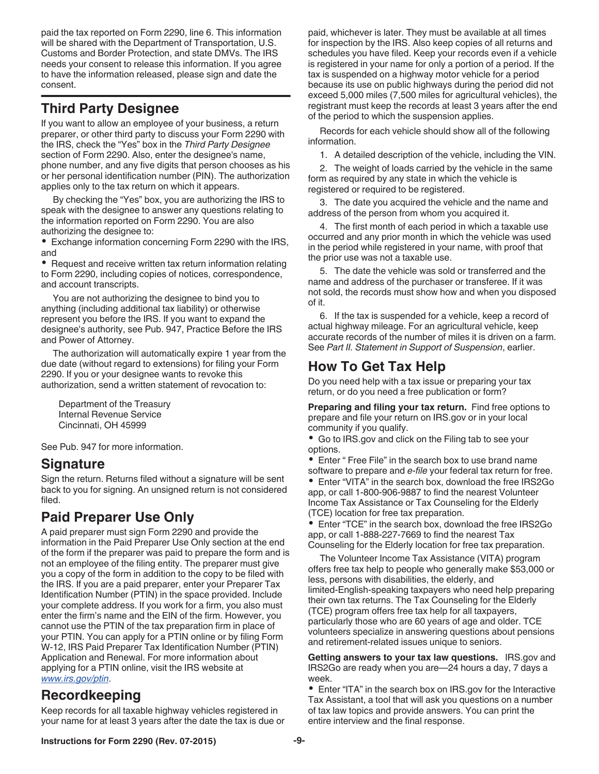<span id="page-8-0"></span>paid the tax reported on Form 2290, line 6. This information will be shared with the Department of Transportation, U.S. Customs and Border Protection, and state DMVs. The IRS needs your consent to release this information. If you agree to have the information released, please sign and date the consent.

# **Third Party Designee**

If you want to allow an employee of your business, a return preparer, or other third party to discuss your Form 2290 with the IRS, check the "Yes" box in the *Third Party Designee*  section of Form 2290. Also, enter the designee's name, phone number, and any five digits that person chooses as his or her personal identification number (PIN). The authorization applies only to the tax return on which it appears.

By checking the "Yes" box, you are authorizing the IRS to speak with the designee to answer any questions relating to the information reported on Form 2290. You are also authorizing the designee to:

Exchange information concerning Form 2290 with the IRS, and

• Request and receive written tax return information relating to Form 2290, including copies of notices, correspondence, and account transcripts.

You are not authorizing the designee to bind you to anything (including additional tax liability) or otherwise represent you before the IRS. If you want to expand the designee's authority, see Pub. 947, Practice Before the IRS and Power of Attorney.

The authorization will automatically expire 1 year from the due date (without regard to extensions) for filing your Form 2290. If you or your designee wants to revoke this authorization, send a written statement of revocation to:

Department of the Treasury Internal Revenue Service Cincinnati, OH 45999

See Pub. 947 for more information.

### **Signature**

Sign the return. Returns filed without a signature will be sent back to you for signing. An unsigned return is not considered filed.

# **Paid Preparer Use Only**

A paid preparer must sign Form 2290 and provide the information in the Paid Preparer Use Only section at the end of the form if the preparer was paid to prepare the form and is not an employee of the filing entity. The preparer must give you a copy of the form in addition to the copy to be filed with the IRS. If you are a paid preparer, enter your Preparer Tax Identification Number (PTIN) in the space provided. Include your complete address. If you work for a firm, you also must enter the firm's name and the EIN of the firm. However, you cannot use the PTIN of the tax preparation firm in place of your PTIN. You can apply for a PTIN online or by filing Form W-12, IRS Paid Preparer Tax Identification Number (PTIN) Application and Renewal. For more information about applying for a PTIN online, visit the IRS website at *[www.irs.gov/ptin](http://www.irs.gov/ptin)*.

### **Recordkeeping**

Keep records for all taxable highway vehicles registered in your name for at least 3 years after the date the tax is due or paid, whichever is later. They must be available at all times for inspection by the IRS. Also keep copies of all returns and schedules you have filed. Keep your records even if a vehicle is registered in your name for only a portion of a period. If the tax is suspended on a highway motor vehicle for a period because its use on public highways during the period did not exceed 5,000 miles (7,500 miles for agricultural vehicles), the registrant must keep the records at least 3 years after the end of the period to which the suspension applies.

Records for each vehicle should show all of the following information.

1. A detailed description of the vehicle, including the VIN.

2. The weight of loads carried by the vehicle in the same form as required by any state in which the vehicle is registered or required to be registered.

3. The date you acquired the vehicle and the name and address of the person from whom you acquired it.

4. The first month of each period in which a taxable use occurred and any prior month in which the vehicle was used in the period while registered in your name, with proof that the prior use was not a taxable use.

5. The date the vehicle was sold or transferred and the name and address of the purchaser or transferee. If it was not sold, the records must show how and when you disposed of it.

6. If the tax is suspended for a vehicle, keep a record of actual highway mileage. For an agricultural vehicle, keep accurate records of the number of miles it is driven on a farm. See *Part II. Statement in Support of Suspension*, earlier.

# **How To Get Tax Help**

Do you need help with a tax issue or preparing your tax return, or do you need a free publication or form?

**Preparing and filing your tax return.** Find free options to prepare and file your return on IRS.gov or in your local community if you qualify.

Go to IRS.gov and click on the Filing tab to see your options.

Enter " Free File" in the search box to use brand name software to prepare and *e-file* your federal tax return for free.

Enter "VITA" in the search box, download the free IRS2Go app, or call 1-800-906-9887 to find the nearest Volunteer Income Tax Assistance or Tax Counseling for the Elderly (TCE) location for free tax preparation.

Enter "TCE" in the search box, download the free IRS2Go app, or call 1-888-227-7669 to find the nearest Tax Counseling for the Elderly location for free tax preparation.

The Volunteer Income Tax Assistance (VITA) program offers free tax help to people who generally make \$53,000 or less, persons with disabilities, the elderly, and limited-English-speaking taxpayers who need help preparing their own tax returns. The Tax Counseling for the Elderly (TCE) program offers free tax help for all taxpayers, particularly those who are 60 years of age and older. TCE volunteers specialize in answering questions about pensions and retirement-related issues unique to seniors.

**Getting answers to your tax law questions.** IRS.gov and IRS2Go are ready when you are—24 hours a day, 7 days a week.

Enter "ITA" in the search box on IRS.gov for the Interactive Tax Assistant, a tool that will ask you questions on a number of tax law topics and provide answers. You can print the entire interview and the final response.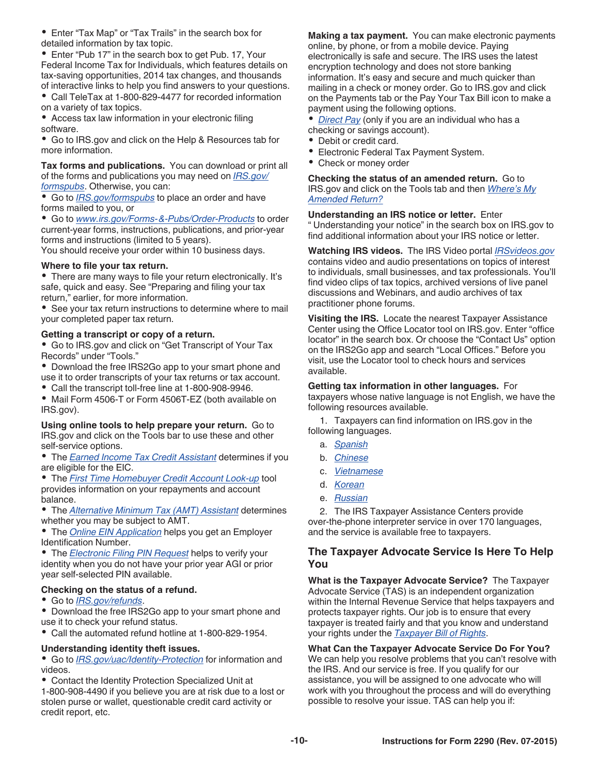Enter "Tax Map" or "Tax Trails" in the search box for detailed information by tax topic.

• Enter "Pub 17" in the search box to get Pub. 17, Your Federal Income Tax for Individuals, which features details on tax-saving opportunities, 2014 tax changes, and thousands of interactive links to help you find answers to your questions.

Call TeleTax at 1-800-829-4477 for recorded information on a variety of tax topics.

Access tax law information in your electronic filing software.

Go to IRS.gov and click on the Help & Resources tab for more information.

**Tax forms and publications.** You can download or print all of the forms and publications you may need on *[IRS.gov/](http://www.irs.gov/Forms-&-Pubs) [formspubs](http://www.irs.gov/Forms-&-Pubs)*. Otherwise, you can:

 $\bullet$ Go to *[IRS.gov/formspubs](http://www.irs.gov/Forms-&-Pubs)* to place an order and have forms mailed to you, or

Go to *[www.irs.gov/Forms-&-Pubs/Order-Products](http://www.irs.gov/Forms-&-Pubs/Order-Products)* to order current-year forms, instructions, publications, and prior-year forms and instructions (limited to 5 years).

You should receive your order within 10 business days.

#### **Where to file your tax return.**

There are many ways to file your return electronically. It's safe, quick and easy. See "Preparing and filing your tax return," earlier, for more information.

See your tax return instructions to determine where to mail your completed paper tax return.

#### **Getting a transcript or copy of a return.**

Go to IRS.gov and click on "Get Transcript of Your Tax Records" under "Tools."

Download the free IRS2Go app to your smart phone and use it to order transcripts of your tax returns or tax account.

Call the transcript toll-free line at 1-800-908-9946.

• Mail Form 4506-T or Form 4506T-EZ (both available on IRS.gov).

#### **Using online tools to help prepare your return.** Go to IRS.gov and click on the Tools bar to use these and other self-service options.

The *[Earned Income Tax Credit Assistant](http://www.irs.gov/Individuals/Earned-Income-Tax-Credit-(EITC)-%E2%80%93--Use-the-EITC-Assistant-to-Find-Out-if-You-Should-Claim-it.)* determines if you are eligible for the EIC.

The *[First Time Homebuyer Credit Account Look-up](http://www.irs.gov/Individuals/First-Time-Homebuyer-Credit-Account-Look-up)* tool provides information on your repayments and account balance.

The *[Alternative Minimum Tax \(AMT\) Assistant](http://www.irs.gov/Businesses/Small-Businesses-&-Self-Employed/Alternative-Minimum-Tax-(AMT)-Assistant-for-Individuals)* determines whether you may be subject to AMT.

The *[Online EIN Application](http://www.irs.gov/Businesses/Small-Businesses-&-Self-Employed/Apply-for-an-Employer-Identification-Number-(EIN)-Online)* helps you get an Employer Identification Number.

The *[Electronic Filing PIN Request](http://www.irs.gov/Individuals/Electronic-Filing-PIN-Request)* helps to verify your identity when you do not have your prior year AGI or prior year self-selected PIN available.

#### **Checking on the status of a refund.**

Go to *[IRS.gov/refunds](http://www.irs.gov/Refunds)*.

Download the free IRS2Go app to your smart phone and use it to check your refund status.

Call the automated refund hotline at 1-800-829-1954.

#### **Understanding identity theft issues.**

Go to *[IRS.gov/uac/Identity-Protection](http://www.irs.gov/uac/Identity-Protection)* for information and videos.

Contact the Identity Protection Specialized Unit at 1-800-908-4490 if you believe you are at risk due to a lost or stolen purse or wallet, questionable credit card activity or credit report, etc.

**Making a tax payment.** You can make electronic payments online, by phone, or from a mobile device. Paying electronically is safe and secure. The IRS uses the latest encryption technology and does not store banking information. It's easy and secure and much quicker than mailing in a check or money order. Go to IRS.gov and click on the Payments tab or the Pay Your Tax Bill icon to make a payment using the following options.

*[Direct Pay](http://www.irs.gov/Payments/Direct-Pay)* (only if you are an individual who has a checking or savings account).

- Debit or credit card.
- Electronic Federal Tax Payment System.
- Check or money order

#### **Checking the status of an amended return.** Go to IRS.gov and click on the Tools tab and then *[Where's My](http://www.irs.gov/Filing/Individuals/Amended-Returns-(Form-1040-X)/Wheres-My-Amended-Return-1) [Amended Return?](http://www.irs.gov/Filing/Individuals/Amended-Returns-(Form-1040-X)/Wheres-My-Amended-Return-1)*

**Understanding an IRS notice or letter.** Enter

" Understanding your notice" in the search box on IRS.gov to find additional information about your IRS notice or letter.

**Watching IRS videos.** The IRS Video portal *[IRSvideos.gov](http://www.irsvideos.gov/)*  contains video and audio presentations on topics of interest to individuals, small businesses, and tax professionals. You'll find video clips of tax topics, archived versions of live panel discussions and Webinars, and audio archives of tax practitioner phone forums.

**Visiting the IRS.** Locate the nearest Taxpayer Assistance Center using the Office Locator tool on IRS.gov. Enter "office locator" in the search box. Or choose the "Contact Us" option on the IRS2Go app and search "Local Offices." Before you visit, use the Locator tool to check hours and services available.

#### **Getting tax information in other languages.** For

taxpayers whose native language is not English, we have the following resources available.

1. Taxpayers can find information on IRS.gov in the following languages.

- a. *[Spanish](http://www.irs.gov/Spanish)*
- b. *[Chinese](http://www.irs.gov/Chinese)*
- c. *[Vietnamese](http://www.irs.gov/Vietnamese)*
- d. *[Korean](http://www.irs.gov/Korean)*
- e. *[Russian](http://www.irs.gov/Russian)*

2. The IRS Taxpayer Assistance Centers provide over-the-phone interpreter service in over 170 languages, and the service is available free to taxpayers.

### **The Taxpayer Advocate Service Is Here To Help You**

**What is the Taxpayer Advocate Service?** The Taxpayer Advocate Service (TAS) is an independent organization within the Internal Revenue Service that helps taxpayers and protects taxpayer rights. Our job is to ensure that every taxpayer is treated fairly and that you know and understand your rights under the *[Taxpayer Bill of Rights](http://taxpayeradvocate.irs.gov/About-TAS/Taxpayer-Rights)*.

**What Can the Taxpayer Advocate Service Do For You?**  We can help you resolve problems that you can't resolve with the IRS. And our service is free. If you qualify for our assistance, you will be assigned to one advocate who will work with you throughout the process and will do everything possible to resolve your issue. TAS can help you if: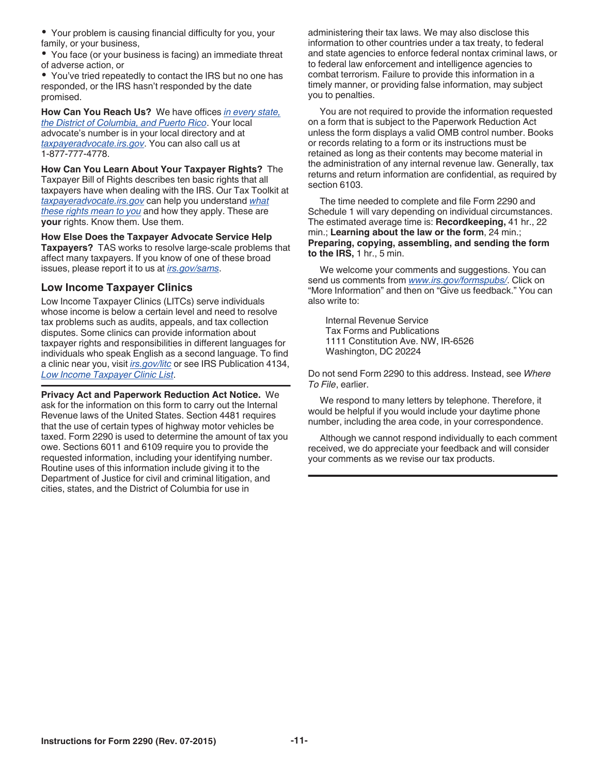Your problem is causing financial difficulty for you, your family, or your business,

You face (or your business is facing) an immediate threat of adverse action, or

You've tried repeatedly to contact the IRS but no one has responded, or the IRS hasn't responded by the date promised.

**How Can You Reach Us?** We have offices *[in every state,](http://www.irs.gov/Advocate/Local-Taxpayer-Advocate)  [the District of Columbia, and Puerto Rico](http://www.irs.gov/Advocate/Local-Taxpayer-Advocate)*. Your local advocate's number is in your local directory and at *[taxpayeradvocate.irs.gov](http://www.taxpayeradvocate.irs.gov/)*. You can also call us at 1-877-777-4778.

**How Can You Learn About Your Taxpayer Rights?** The Taxpayer Bill of Rights describes ten basic rights that all taxpayers have when dealing with the IRS. Our Tax Toolkit at *[taxpayeradvocate.irs.gov](http://www.taxpayeradvocate.irs.gov/)* can help you understand *[what](http://taxpayeradvocate.irs.gov/About-TAS/Taxpayer-Rights/What-the-Taxpayer-Bill-of-Rights-Means-for-You)  [these rights mean to you](http://taxpayeradvocate.irs.gov/About-TAS/Taxpayer-Rights/What-the-Taxpayer-Bill-of-Rights-Means-for-You)* and how they apply. These are **your** rights. Know them. Use them.

**How Else Does the Taxpayer Advocate Service Help Taxpayers?** TAS works to resolve large-scale problems that affect many taxpayers. If you know of one of these broad issues, please report it to us at *[irs.gov/sams](http://www.irs.gov/Advocate/Systemic-Advocacy-Management-System-SAMS)*.

### **Low Income Taxpayer Clinics**

Low Income Taxpayer Clinics (LITCs) serve individuals whose income is below a certain level and need to resolve tax problems such as audits, appeals, and tax collection disputes. Some clinics can provide information about taxpayer rights and responsibilities in different languages for individuals who speak English as a second language. To find a clinic near you, visit *[irs.gov/litc](http://www.irs.gov/Advocate/Low-Income-Taxpayer-Clinics)* or see IRS Publication 4134, *[Low Income Taxpayer Clinic List](http://www.irs.gov/pub/irs-pdf/p4134.pdf)*.

**Privacy Act and Paperwork Reduction Act Notice.** We ask for the information on this form to carry out the Internal Revenue laws of the United States. Section 4481 requires that the use of certain types of highway motor vehicles be taxed. Form 2290 is used to determine the amount of tax you owe. Sections 6011 and 6109 require you to provide the requested information, including your identifying number. Routine uses of this information include giving it to the Department of Justice for civil and criminal litigation, and cities, states, and the District of Columbia for use in

administering their tax laws. We may also disclose this information to other countries under a tax treaty, to federal and state agencies to enforce federal nontax criminal laws, or to federal law enforcement and intelligence agencies to combat terrorism. Failure to provide this information in a timely manner, or providing false information, may subject you to penalties.

You are not required to provide the information requested on a form that is subject to the Paperwork Reduction Act unless the form displays a valid OMB control number. Books or records relating to a form or its instructions must be retained as long as their contents may become material in the administration of any internal revenue law. Generally, tax returns and return information are confidential, as required by section 6103.

The time needed to complete and file Form 2290 and Schedule 1 will vary depending on individual circumstances. The estimated average time is: **Recordkeeping,** 41 hr., 22 min.; **Learning about the law or the form**, 24 min.; **Preparing, copying, assembling, and sending the form to the IRS,** 1 hr., 5 min.

We welcome your comments and suggestions. You can send us comments from *[www.irs.gov/formspubs/](http://www.irs.gov/formspubs/)*. Click on "More Information" and then on "Give us feedback." You can also write to:

Internal Revenue Service Tax Forms and Publications 1111 Constitution Ave. NW, IR-6526 Washington, DC 20224

Do not send Form 2290 to this address. Instead, see *Where To File*, earlier.

We respond to many letters by telephone. Therefore, it would be helpful if you would include your daytime phone number, including the area code, in your correspondence.

Although we cannot respond individually to each comment received, we do appreciate your feedback and will consider your comments as we revise our tax products.